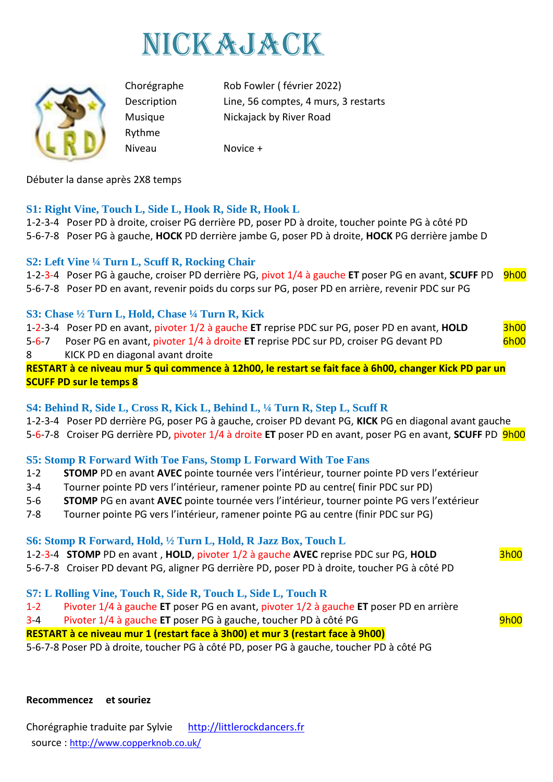



Rythme Niveau Novice +

Chorégraphe Rob Fowler ( février 2022) Description Line, 56 comptes, 4 murs, 3 restarts Musique Nickajack by River Road

Débuter la danse après 2X8 temps

# **S1: Right Vine, Touch L, Side L, Hook R, Side R, Hook L**

1-2-3-4 Poser PD à droite, croiser PG derrière PD, poser PD à droite, toucher pointe PG à côté PD 5-6-7-8 Poser PG à gauche, **HOCK** PD derrière jambe G, poser PD à droite, **HOCK** PG derrière jambe D

# **S2: Left Vine ¼ Turn L, Scuff R, Rocking Chair**

1-2-3-4 Poser PG à gauche, croiser PD derrière PG, pivot 1/4 à gauche **ET** poser PG en avant, **SCUFF** PD 9h00 5-6-7-8 Poser PD en avant, revenir poids du corps sur PG, poser PD en arrière, revenir PDC sur PG

# **S3: Chase ½ Turn L, Hold, Chase ¼ Turn R, Kick**

1-2-3-4 Poser PD en avant, pivoter 1/2 à gauche **ET** reprise PDC sur PG, poser PD en avant, **HOLD** 3h00 5-6-7 Poser PG en avant, pivoter 1/4 à droite ET reprise PDC sur PD, croiser PG devant PD 6h00 8 KICK PD en diagonal avant droite

**RESTART à ce niveau mur 5 qui commence à 12h00, le restart se fait face à 6h00, changer Kick PD par un SCUFF PD sur le temps 8**

## **S4: Behind R, Side L, Cross R, Kick L, Behind L, ¼ Turn R, Step L, Scuff R**

1-2-3-4 Poser PD derrière PG, poser PG à gauche, croiser PD devant PG, **KICK** PG en diagonal avant gauche

5-6-7-8 Croiser PG derrière PD, pivoter 1/4 à droite **ET** poser PD en avant, poser PG en avant, **SCUFF** PD 9h00

## **S5: Stomp R Forward With Toe Fans, Stomp L Forward With Toe Fans**

- 1-2 **STOMP** PD en avant **AVEC** pointe tournée vers l'intérieur, tourner pointe PD vers l'extérieur
- 3-4 Tourner pointe PD vers l'intérieur, ramener pointe PD au centre( finir PDC sur PD)
- 5-6 **STOMP** PG en avant **AVEC** pointe tournée vers l'intérieur, tourner pointe PG vers l'extérieur
- 7-8 Tourner pointe PG vers l'intérieur, ramener pointe PG au centre (finir PDC sur PG)

## **S6: Stomp R Forward, Hold, ½ Turn L, Hold, R Jazz Box, Touch L**

- 1-2-3-4 **STOMP** PD en avant, **HOLD**, pivoter 1/2 à gauche **AVEC** reprise PDC sur PG, **HOLD** 3h00
- 5-6-7-8 Croiser PD devant PG, aligner PG derrière PD, poser PD à droite, toucher PG à côté PD
- **S7: L Rolling Vine, Touch R, Side R, Touch L, Side L, Touch R**
- 1-2 Pivoter 1/4 à gauche **ET** poser PG en avant, pivoter 1/2 à gauche **ET** poser PD en arrière
- 3-4 Pivoter 1/4 à gauche **ET** poser PG à gauche, toucher PD à côté PG 9h00

**RESTART à ce niveau mur 1 (restart face à 3h00) et mur 3 (restart face à 9h00)**

5-6-7-8 Poser PD à droite, toucher PG à côté PD, poser PG à gauche, toucher PD à côté PG

#### **Recommencez et souriez**

Chorégraphie traduite par Sylvie [http://littlerockdancers.fr](http://littlerockdancers.fr/)  source : [http://www.copperknob.co.uk/](https://www.copperknob.co.uk/)